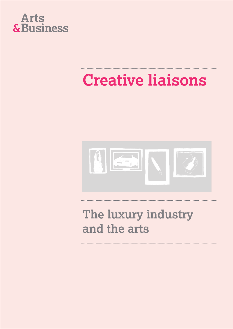

## **Creative liaisons**



### **The luxury industry and the arts**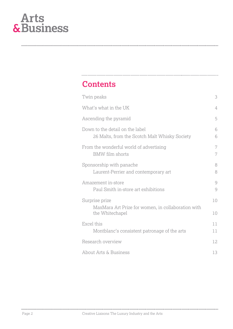

#### **Contents**

| Twin peaks                                                                       |                |  |  |  |
|----------------------------------------------------------------------------------|----------------|--|--|--|
| What's what in the UK                                                            | $\overline{4}$ |  |  |  |
| Ascending the pyramid                                                            | 5              |  |  |  |
| Down to the detail on the label<br>26 Malts, from the Scotch Malt Whisky Society | 6<br>6         |  |  |  |
| From the wonderful world of advertising<br><b>BMW</b> film shorts                | 7<br>7         |  |  |  |
| Sponsorship with panache<br>Laurent-Perrier and contemporary art                 | 8<br>8         |  |  |  |
| Amazement in-store<br>Paul Smith in-store art exhibitions                        | 9<br>9         |  |  |  |
| Surprise prize                                                                   | 10             |  |  |  |
| MaxMara Art Prize for women, in collaboration with<br>the Whitechapel            | 10             |  |  |  |
| Excel this<br>Montblanc's consistent patronage of the arts                       | 11<br>11       |  |  |  |
| Research overview                                                                | 12             |  |  |  |
| About Arts & Business                                                            |                |  |  |  |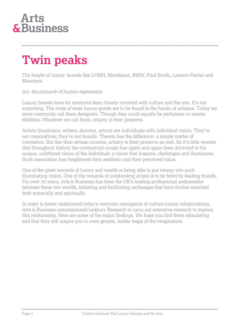### **Twin peaks**

The height of luxury: brands like LVMH, Montblanc, BMW, Paul Smith, Laurent-Perrier and Maxmara.

#### Art: the pinnacle of human expression.

Luxury brands have for centuries been closely involved with culture and the arts. It's not surprising. The roots of most luxury goods are to be found in the hands of artisans. Today we more commonly call them designers. Though they could equally be perfumers or master distillers. Whatever we call them, artistry is their preserve.

Artists (musicians, writers, dancers, actors) are individuals with individual vision. They're not corporations; they're not brands. Therein lies the difference: a simple matter of commerce. But like their artisan cousins, artistry is their preserve as well. So it's little wonder that throughout history the commercial cousin has again and again been attracted to the unique, unfettered vision of the individual: a vision that inspires, challenges and illuminates. Such association has heightened their aesthetic and their perceived value.

One of the great rewards of luxury and wealth is being able to put money into such illuminating vision. One of the rewards of outstanding artists is to be feted by leading brands. For over 30 years, Arts & Business has been the UK's leading professional ambassador between these two worlds, initiating and facilitating exchanges that have further enriched both materially and spiritually.

In order to better understand today's welcome resurgence of culture-luxury collaborations, Arts & Business commissioned Ledbury Research to carry out extensive research to explore this relationship. Here are some of the major findings. We hope you find them stimulating and that they will inspire you to even greater, bolder leaps of the imagination.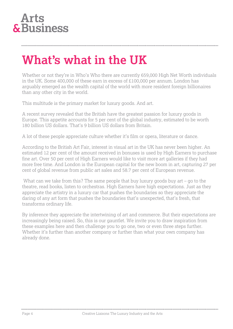### **What's what in the UK**

Whether or not they're in Who's Who there are currently 659,000 High Net Worth individuals in the UK. Some 400,000 of these earn in excess of £100,000 per annum. London has arguably emerged as the wealth capital of the world with more resident foreign billionaires than any other city in the world.

This multitude is the primary market for luxury goods. And art.

A recent survey revealed that the British have the greatest passion for luxury goods in Europe. This appetite accounts for 5 per cent of the global industry, estimated to be worth 180 billion US dollars. That's 9 billion US dollars from Britain.

A lot of these people appreciate culture whether it's film or opera, literature or dance.

According to the British Art Fair, interest in visual art in the UK has never been higher. An estimated 12 per cent of the amount received in bonuses is used by High Earners to purchase fine art. Over 50 per cent of High Earners would like to visit more art galleries if they had more free time. And London is the European capital for the new boom in art, capturing 27 per cent of global revenue from public art sales and 58.7 per cent of European revenue.

What can we take from this? The same people that buy luxury goods buy art – go to the theatre, read books, listen to orchestras. High Earners have high expectations. Just as they appreciate the artistry in a luxury car that pushes the boundaries so they appreciate the daring of any art form that pushes the boundaries that's unexpected, that's fresh, that transforms ordinary life.

By inference they appreciate the intertwining of art and commerce. But their expectations are increasingly being raised. So, this is our gauntlet. We invite you to draw inspiration from these examples here and then challenge you to go one, two or even three steps further. Whether it's further than another company or further than what your own company has already done.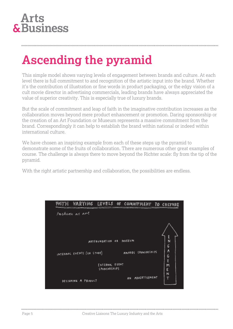### **Ascending the pyramid**

This simple model shows varying levels of engagement between brands and culture. At each level there is full commitment to and recognition of the artistic input into the brand. Whether it's the contribution of illustration or fine words in product packaging, or the edgy vision of a cult movie director in advertising commercials, leading brands have always appreciated the value of superior creativity. This is especially true of luxury brands.

But the scale of commitment and leap of faith in the imaginative contribution increases as the collaboration moves beyond mere product enhancement or promotion. Daring sponsorship or the creation of an Art Foundation or Museum represents a massive commitment from the brand. Correspondingly it can help to establish the brand within national or indeed within international culture.

We have chosen an inspiring example from each of these steps up the pyramid to demonstrate some of the fruits of collaboration. There are numerous other great examples of course. The challenge is always there to move beyond the Richter scale: fly from the tip of the pyramid.

With the right artistic partnership and collaboration, the possibilities are endless.

| Ή |                            |                                | VARYING LEVELS OF COMMITMENT TO CULTURE |                    |
|---|----------------------------|--------------------------------|-----------------------------------------|--------------------|
|   | Fashion as ant             |                                |                                         |                    |
|   |                            |                                |                                         |                    |
|   |                            |                                |                                         |                    |
|   |                            | ARTFOUNDATION OR               | MUSEUM                                  | E<br>$\frac{1}{6}$ |
|   | INTERNAL EVENTS (IN STORE) |                                | AWARDS SPONSORSHIPS                     |                    |
|   |                            |                                |                                         | 6<br>E             |
|   |                            | EXTERNAL EVENT<br>SPONSORSHIPS |                                         | m<br>E             |
|   |                            |                                | AN ADVERTISEMENT                        | N<br>T             |
|   | DESIGNING A PRODUCT        |                                |                                         |                    |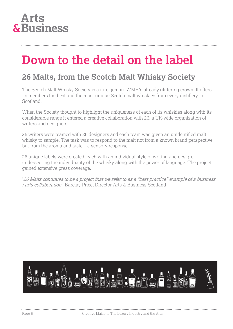#### **Arts** & Business

### **Down to the detail on the label**

#### **26 Malts, from the Scotch Malt Whisky Society**

The Scotch Malt Whisky Society is a rare gem in LVMH's already glittering crown. It offers its members the best and the most unique Scotch malt whiskies from every distillery in Scotland.

When the Society thought to highlight the uniqueness of each of its whiskies along with its considerable range it entered a creative collaboration with 26, a UK-wide organisation of writers and designers.

26 writers were teamed with 26 designers and each team was given an unidentified malt whisky to sample. The task was to respond to the malt not from a known brand perspective but from the aroma and taste – a sensory response.

26 unique labels were created, each with an individual style of writing and design, underscoring the individuality of the whisky along with the power of language. The project gained extensive press coverage.

'26 Malts continues to be a project that we refer to as <sup>a</sup>"best practice" example of a business / arts collaboration.' Barclay Price, Director Arts & Business Scotland

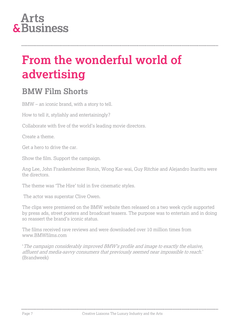#### **Arts** & Business

### **From the wonderful world of advertising**

#### **BMW Film Shorts**

BMW – an iconic brand, with a story to tell.

How to tell it, stylishly and entertainingly?

Collaborate with five of the world's leading movie directors.

Create a theme.

Get a hero to drive the car.

Show the film. Support the campaign.

Ang Lee, John Frankenheimer Ronin, Wong Kar-wai, Guy Ritchie and Alejandro Inarittu were the directors.

The theme was 'The Hire' told in five cinematic styles.

The actor was superstar Clive Owen.

The clips were premiered on the BMW website then released on a two week cycle supported by press ads, street posters and broadcast teasers. The purpose was to entertain and in doing so reassert the brand's iconic status.

The films received rave reviews and were downloaded over 10 million times from www.BMWfilms.com

'The campaign considerably improved BMW's profile and image to exactly the elusive, affluent and media-savvy consumers that previously seemed near impossible to reach.' (Brandweek)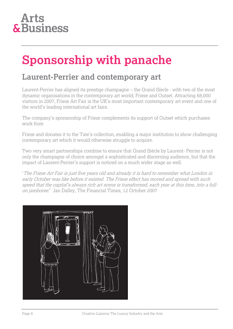

### **Sponsorship with panache**

#### **Laurent-Perrier and contemporary art**

Laurent-Perrier has aligned its prestige champagne – the Grand Siècle - with two of the most dynamic organisations in the contemporary art world; Frieze and Outset. Attracting 68,000 visitors in 2007, Frieze Art Fair is the UK's most important contemporary art event and one of the world's leading international art fairs.

The company's sponsorship of Frieze complements its support of Outset which purchases work from

Frieze and donates it to the Tate's collection, enabling a major institution to show challenging contemporary art which it would otherwise struggle to acquire.

Two very smart partnerships combine to ensure that Grand Siècle by Laurent- Perrier is not only the champagne of choice amongst a sophisticated and discerning audience, but that the impact of Laurent-Perrier's support is noticed on a much wider stage as well.

'The Frieze Art Fair is just five years old and already it is hard to remember what London in early October was like before it existed. The Frieze effect has moved and spread with such speed that the capital's always rich art scene is transformed, each year at this time, into a fullon jamboree.' Jan Dalley, The Financial Times, 12 October 2007

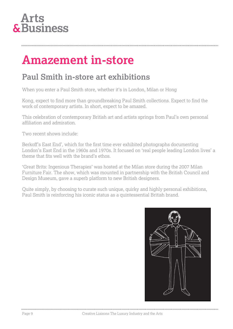

### **Amazement in-store**

#### **Paul Smith in-store art exhibitions**

When you enter a Paul Smith store, whether it's in London, Milan or Hong

Kong, expect to find more than groundbreaking Paul Smith collections. Expect to find the work of contemporary artists. In short, expect to be amazed.

This celebration of contemporary British art and artists springs from Paul's own personal affiliation and admiration.

Two recent shows include:

Berkoff's East End', which for the first time ever exhibited photographs documenting London's East End in the 1960s and 1970s. It focused on 'real people leading London lives' a theme that fits well with the brand's ethos.

'Great Brits: Ingenious Therapies' was hosted at the Milan store during the 2007 Milan Furniture Fair. The show, which was mounted in partnership with the British Council and Design Museum, gave a superb platform to new British designers.

Quite simply, by choosing to curate such unique, quirky and highly personal exhibitions, Paul Smith is reinforcing his iconic status as a quintessential British brand.

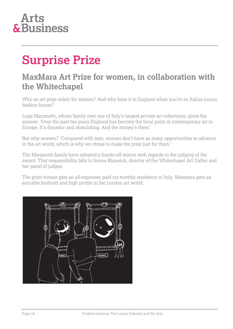

### **Surprise Prize**

#### **MaxMara Art Prize for women, in collaboration with the Whitechapel**

Why an art prize solely for women? And why base it in England when you're an Italian luxury fashion house?

Luigi Maramotti, whose family own one of Italy's largest private art collections, gives the answer: 'Over the past ten years England has become the focal point of contemporary art in Europe. It's dynamic and stimulating. And the money's there.'

But why women? 'Compared with men, women don't have as many opportunities to advance in the art world, which is why we chose to make the prize just for them.'

The Maramotti family have adopted a hands-off stance with regards to the judging of the award. That responsibility falls to Iwona Blazwick, director of the Whitechapel Art Galley and her panel of judges.

The prize winner gets an all-expenses paid six months residency in Italy. Maxmara gets an enviable foothold and high profile in the London art world.

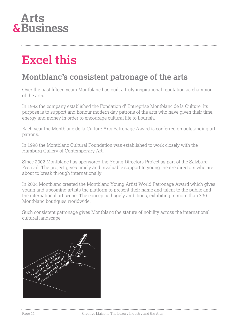#### **Arts** & Business

### **Excel this**

#### **Montblanc's consistent patronage of the arts**

Over the past fifteen years Montblanc has built a truly inspirational reputation as champion of the arts.

In 1992 the company established the Fondation d' Entreprise Montblanc de la Culture. Its purpose is to support and honour modern day patrons of the arts who have given their time, energy and money in order to encourage cultural life to flourish.

Each year the Montblanc de la Culture Arts Patronage Award is conferred on outstanding art patrons.

In 1998 the Montblanc Cultural Foundation was established to work closely with the Hamburg Gallery of Contemporary Art.

Since 2002 Montblanc has sponsored the Young Directors Project as part of the Salzburg Festival. The project gives timely and invaluable support to young theatre directors who are about to break through internationally.

In 2004 Montblanc created the Montblanc Young Artist World Patronage Award which gives young and upcoming artists the platform to present their name and talent to the public and the international art scene. The concept is hugely ambitious, exhibiting in more than 330 Montblanc boutiques worldwide.

Such consistent patronage gives Montblanc the stature of nobility across the international cultural landscape.

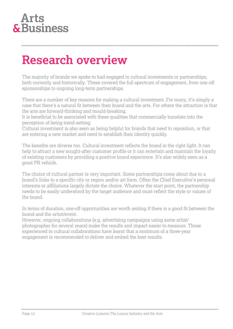### **Research overview**

The majority of brands we spoke to had engaged in cultural investments or partnerships, both currently and historically. These covered the full spectrum of engagement, from one-off sponsorships to ongoing long-term partnerships.

There are a number of key reasons for making a cultural investment. For many, it's simply a case that there's a natural fit between their brand and the arts. For others the attraction is that the arts are forward-thinking and mould-breaking.

It is beneficial to be associated with these qualities that commercially translate into the perception of being trend-setting.

Cultural investment is also seen as being helpful for brands that need to reposition, or that are entering a new market and need to establish their identity quickly.

The benefits are diverse too. Cultural investment reflects the brand in the right light. It can help to attract a new sought-after customer profile or it can entertain and maintain the loyalty of existing customers by providing a positive brand experience. It's also widely seen as a great PR vehicle.

The choice of cultural partner is very important. Some partnerships come about due to a brand's links to a specific city or region and/or art form. Often the Chief Executive's personal interests or affiliations largely dictate the choice. Whatever the start point, the partnership needs to be easily understood by the target audience and must reflect the style or values of the brand.

In terms of duration, one-off opportunities are worth seizing if there is a good fit between the brand and the artist/event.

However, ongoing collaborations (e.g. advertising campaigns using same artist/ photographer for several years) make the results and impact easier to measure. Those experienced in cultural collaborations have learnt that a minimum of a three-year engagement is recommended to deliver and embed the best results.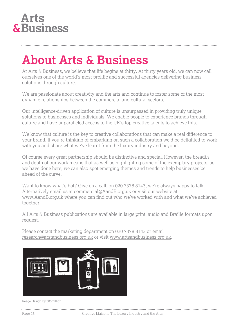

### **About Arts & Business**

At Arts & Business, we believe that life begins at thirty. At thirty years old, we can now call ourselves one of the world's most prolific and successful agencies delivering business solutions through culture.

We are passionate about creativity and the arts and continue to foster some of the most dynamic relationships between the commercial and cultural sectors.

Our intelligence-driven application of culture is unsurpassed in providing truly unique solutions to businesses and individuals. We enable people to experience brands through culture and have unparalleled access to the UK's top creative talents to achieve this.

We know that culture is the key to creative collaborations that can make a real difference to your brand. If you're thinking of embarking on such a collaboration we'd be delighted to work with you and share what we've learnt from the luxury industry and beyond.

Of course every great partnership should be distinctive and special. However, the breadth and depth of our work means that as well as highlighting some of the exemplary projects, as we have done here, we can also spot emerging themes and trends to help businesses be ahead of the curve.

Want to know what's hot? Give us a call, on 020 7378 8143, we're always happy to talk. Alternatively email us at commercial@AandB.org.uk or visit our website at www.AandB.org.uk where you can find out who we've worked with and what we've achieved together.

All Arts & Business publications are available in large print, audio and Braille formats upon request.

Please contact the marketing department on 020 7378 8143 or email [research@arstandbusiness.org.uk](mailto:research@arstandbusiness.org.uk) or visit [www.artsandbusiness.org.uk.](http://www.artsandbusiness.org.uk/)



Image Design by 300million